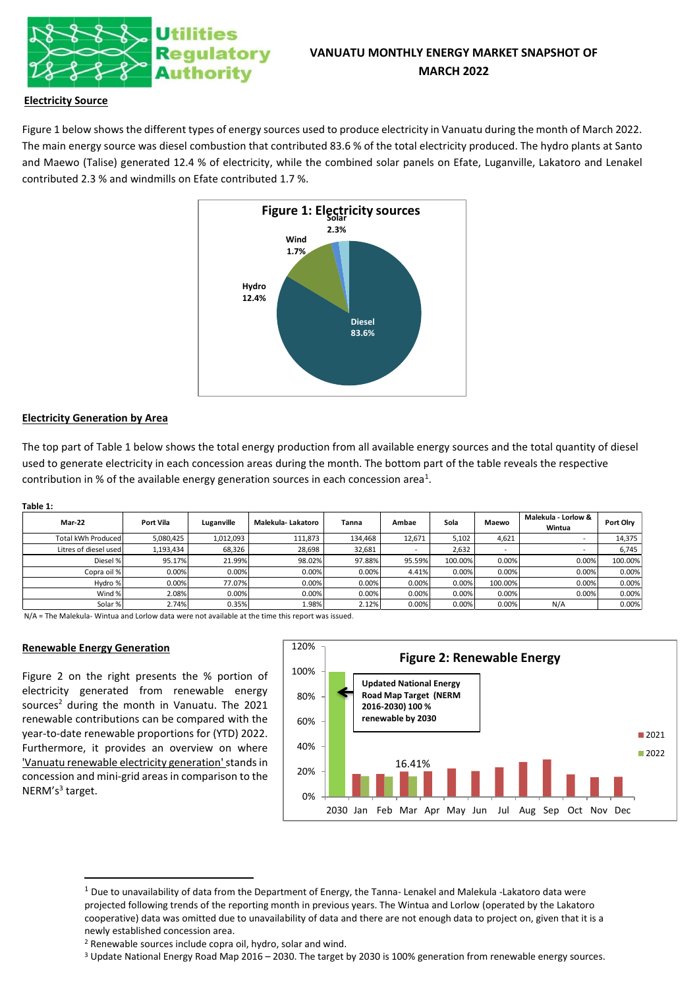

# **VANUATU MONTHLY ENERGY MARKET SNAPSHOT OF MARCH 2022**

## **Electricity Source**

Figure 1 below shows the different types of energy sources used to produce electricity in Vanuatu during the month of March 2022. The main energy source was diesel combustion that contributed 83.6 % of the total electricity produced. The hydro plants at Santo and Maewo (Talise) generated 12.4 % of electricity, while the combined solar panels on Efate, Luganville, Lakatoro and Lenakel contributed 2.3 % and windmills on Efate contributed 1.7 %.



## **Electricity Generation by Area**

The top part of Table 1 below shows the total energy production from all available energy sources and the total quantity of diesel used to generate electricity in each concession areas during the month. The bottom part of the table reveals the respective contribution in % of the available energy generation sources in each concession area<sup>1</sup>.

#### **Table 1:**

| <b>Mar-22</b>         | Port Vila | Luganville | Malekula-Lakatoro | Tanna   | Ambae                    | Sola    | Maewo                    | Malekula - Lorlow &<br>Wintua | <b>Port Olrv</b> |
|-----------------------|-----------|------------|-------------------|---------|--------------------------|---------|--------------------------|-------------------------------|------------------|
| Total kWh Produced    | 5,080,425 | 1,012,093  | 111,873           | 134,468 | 12,671                   | 5,102   | 4,621                    | -                             | 14,375           |
| Litres of diesel used | 1,193,434 | 68,326     | 28,698            | 32,681  | $\overline{\phantom{0}}$ | 2,632   | $\overline{\phantom{a}}$ | $\overline{\phantom{0}}$      | 6,745            |
| Diesel %              | 95.17%    | 21.99%     | 98.02%            | 97.88%  | 95.59%                   | 100.00% | 0.00%                    | 0.00%                         | 100.00%          |
| Copra oil %           | 0.00%     | 0.00%      | 0.00%             | 0.00%   | 4.41%                    | 0.00%   | 0.00%                    | 0.00%                         | 0.00%            |
| Hydro %               | 0.00%     | 77.07%     | 0.00%             | 0.00%   | 0.00%                    | 0.00%   | 100.00%                  | 0.00%                         | 0.00%            |
| Wind %                | 2.08%     | 0.00%      | 0.00%             | 0.00%   | 0.00%                    | 0.00%   | 0.00%                    | 0.00%                         | 0.00%            |
| Solar %               | 2.74%     | 0.35%      | 1.98%             | 2.12%   | 0.00%                    | 0.00%   | 0.00%                    | N/A                           | 0.00%            |

N/A = The Malekula- Wintua and Lorlow data were not available at the time this report was issued.

### **Renewable Energy Generation**

Figure 2 on the right presents the % portion of electricity generated from renewable energy sources<sup>2</sup> during the month in Vanuatu. The 2021 renewable contributions can be compared with the year-to-date renewable proportions for (YTD) 2022. Furthermore, it provides an overview on where 'Vanuatu renewable electricity generation'stands in concession and mini-grid areas in comparison to the NERM's<sup>3</sup> target.



<sup>3</sup> Update National Energy Road Map 2016 – 2030. The target by 2030 is 100% generation from renewable energy sources.

 $1$  Due to unavailability of data from the Department of Energy, the Tanna- Lenakel and Malekula -Lakatoro data were projected following trends of the reporting month in previous years. The Wintua and Lorlow (operated by the Lakatoro cooperative) data was omitted due to unavailability of data and there are not enough data to project on, given that it is a newly established concession area.

<sup>2</sup> Renewable sources include copra oil, hydro, solar and wind.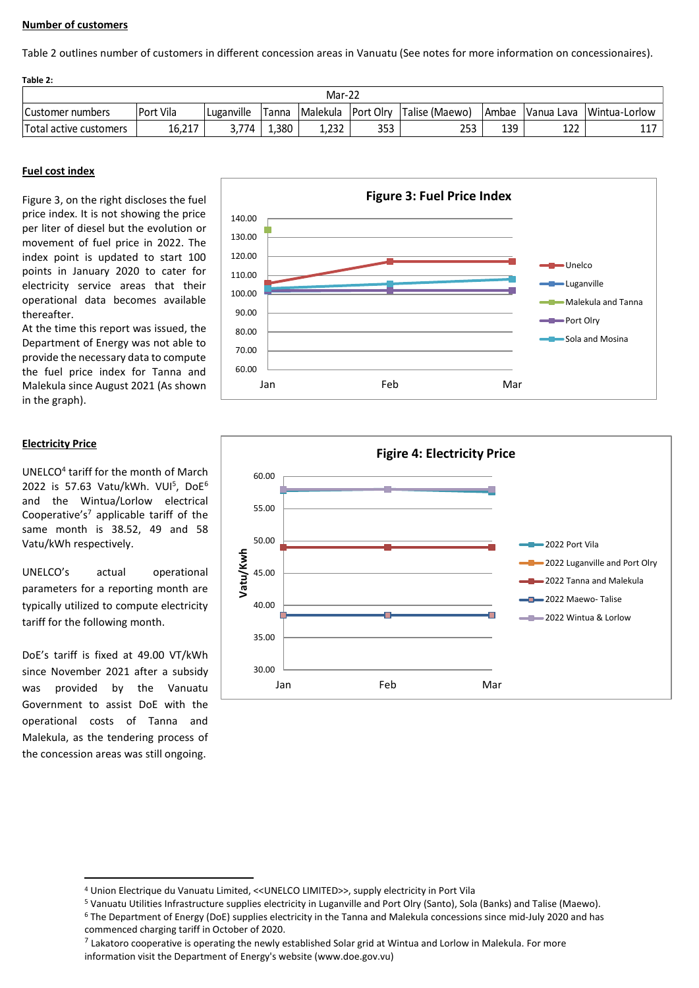## **Number of customers**

Table 2 outlines number of customers in different concession areas in Vanuatu (See notes for more information on concessionaires).

| Table 2:               |           |            |       |                    |     |                |       |     |                            |  |
|------------------------|-----------|------------|-------|--------------------|-----|----------------|-------|-----|----------------------------|--|
| Mar-22                 |           |            |       |                    |     |                |       |     |                            |  |
| Customer numbers       | Port Vila | Luganville | Tanna | Malekula Port Olrv |     | Talise (Maewo) | Ambae |     | Vanua Lava   Wintua-Lorlow |  |
| Total active customers | 16,217    | 3.774      | 1,380 | 1.232              | 353 | 253            | 139   | 122 | ++                         |  |

## **Fuel cost index**

Figure 3, on the right discloses the fuel price index. It is not showing the price per liter of diesel but the evolution or movement of fuel price in 2022. The index point is updated to start 100 points in January 2020 to cater for electricity service areas that their operational data becomes available thereafter.

At the time this report was issued, the Department of Energy was not able to provide the necessary data to compute the fuel price index for Tanna and Malekula since August 2021 (As shown in the graph).

## **Electricity Price**

UNELCO<sup>4</sup> tariff for the month of March  $2022$  is 57.63 Vatu/kWh. VUI<sup>5</sup>, DoE<sup>6</sup> and the Wintua/Lorlow electrical Cooperative's<sup>7</sup> applicable tariff of the same month is 38.52, 49 and 58 Vatu/kWh respectively.

UNELCO's actual operational parameters for a reporting month are typically utilized to compute electricity tariff for the following month.

DoE's tariff is fixed at 49.00 VT/kWh since November 2021 after a subsidy was provided by the Vanuatu Government to assist DoE with the operational costs of Tanna and Malekula, as the tendering process of the concession areas was still ongoing.





<sup>4</sup> Union Electrique du Vanuatu Limited, <<UNELCO LIMITED>>, supply electricity in Port Vila

<sup>5</sup> Vanuatu Utilities Infrastructure supplies electricity in Luganville and Port Olry (Santo), Sola (Banks) and Talise (Maewo).

<sup>6</sup> The Department of Energy (DoE) supplies electricity in the Tanna and Malekula concessions since mid-July 2020 and has commenced charging tariff in October of 2020.

 $^7$  Lakatoro cooperative is operating the newly established Solar grid at Wintua and Lorlow in Malekula. For more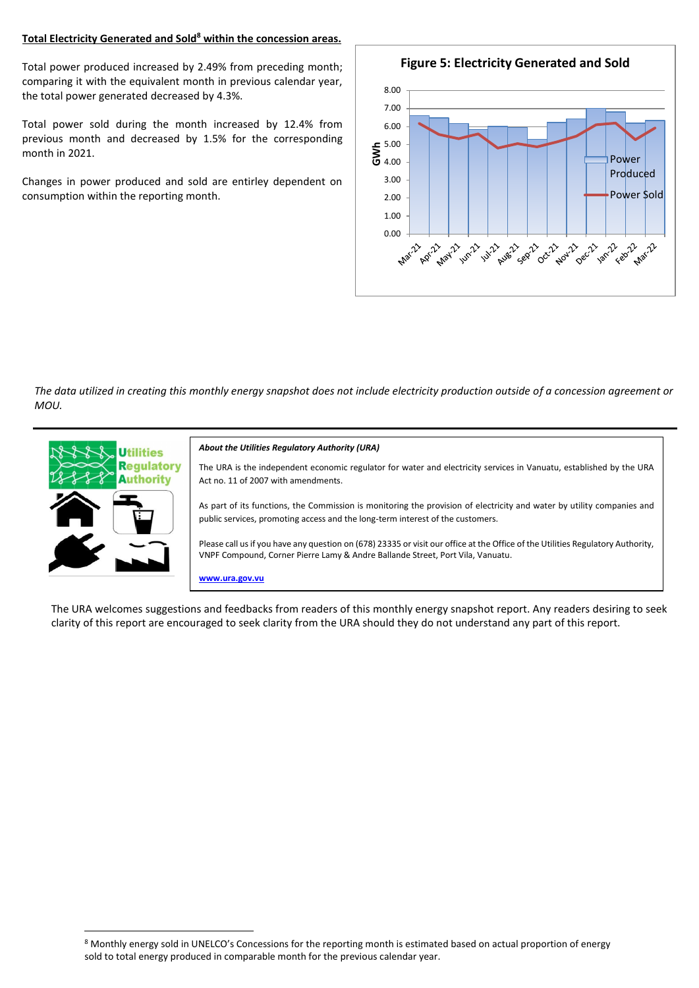## **Total Electricity Generated and Sold<sup>8</sup> within the concession areas.**

Total power produced increased by 2.49% from preceding month; comparing it with the equivalent month in previous calendar year, the total power generated decreased by 4.3%.

Total power sold during the month increased by 12.4% from previous month and decreased by 1.5% for the corresponding month in 2021.

Changes in power produced and sold are entirley dependent on consumption within the reporting month.



*The data utilized in creating this monthly energy snapshot does not include electricity production outside of a concession agreement or MOU.*



The URA welcomes suggestions and feedbacks from readers of this monthly energy snapshot report. Any readers desiring to seek clarity of this report are encouraged to seek clarity from the URA should they do not understand any part of this report.

<sup>8</sup> Monthly energy sold in UNELCO's Concessions for the reporting month is estimated based on actual proportion of energy sold to total energy produced in comparable month for the previous calendar year.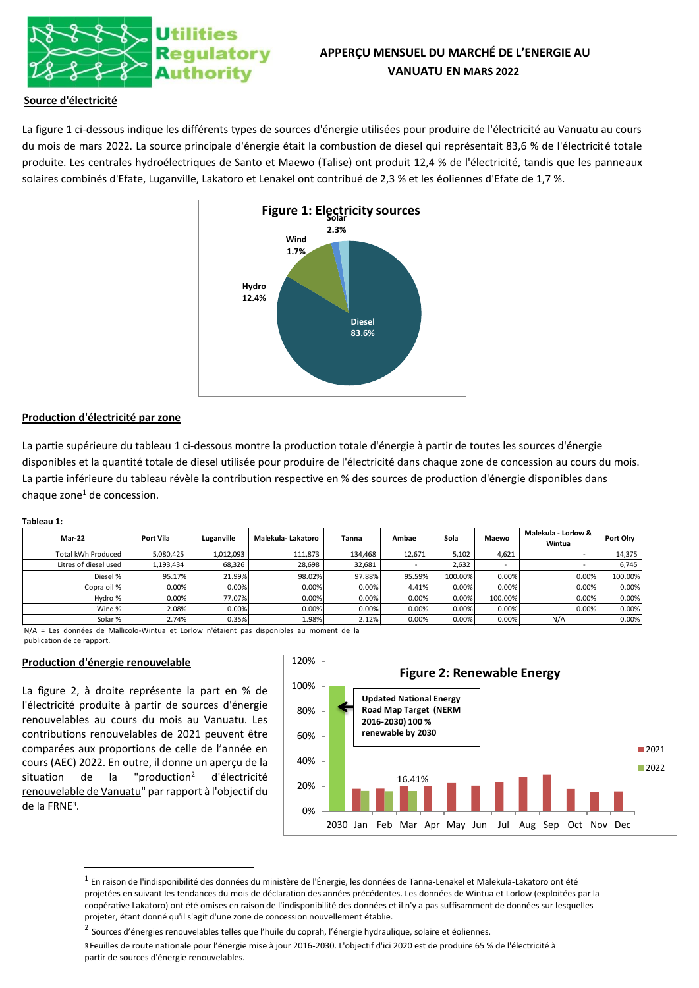

# **APPERÇU MENSUEL DU MARCHÉ DE L'ENERGIE AU VANUATU EN MARS 2022**

## **Source d'électricité**

La figure 1 ci-dessous indique les différents types de sources d'énergie utilisées pour produire de l'électricité au Vanuatu au cours du mois de mars 2022. La source principale d'énergie était la combustion de diesel qui représentait 83,6 % de l'électricité totale produite. Les centrales hydroélectriques de Santo et Maewo (Talise) ont produit 12,4 % de l'électricité, tandis que les panneaux solaires combinés d'Efate, Luganville, Lakatoro et Lenakel ont contribué de 2,3 % et les éoliennes d'Efate de 1,7 %.



## **Production d'électricité par zone**

La partie supérieure du tableau 1 ci-dessous montre la production totale d'énergie à partir de toutes les sources d'énergie disponibles et la quantité totale de diesel utilisée pour produire de l'électricité dans chaque zone de concession au cours du mois. La partie inférieure du tableau révèle la contribution respective en % des sources de production d'énergie disponibles dans chaque zone<sup>1</sup> de concession.

### **Tableau 1:**

| <b>Mar-22</b>         | Port Vila | Luganville | Malekula-Lakatoro | Tanna   | Ambae                    | Sola    | Maewo                    | Malekula - Lorlow &<br>Wintua | Port Olry |
|-----------------------|-----------|------------|-------------------|---------|--------------------------|---------|--------------------------|-------------------------------|-----------|
| Total kWh Produced    | 5,080,425 | 1,012,093  | 111.873           | 134.468 | 12.671                   | 5.102   | 4.621                    |                               | 14.375    |
| Litres of diesel used | 1,193,434 | 68,326     | 28,698            | 32,681  | $\overline{\phantom{0}}$ | 2.632   | $\overline{\phantom{0}}$ |                               | 6,745     |
| Diesel %              | 95.17%    | 21.99%     | 98.02%            | 97.88%  | 95.59%                   | 100.00% | 0.00%                    | 0.00%                         | 100.00%   |
| Copra oil %           | 0.00%     | 0.00%      | 0.00%             | 0.00%   | 4.41%                    | 0.00%   | 0.00%                    | 0.00%                         | 0.00%     |
| Hydro %               | 0.00%     | 77.07%     | 0.00%             | 0.00%   | 0.00%                    | 0.00%   | 100.00%                  | 0.00%                         | 0.00%     |
| Wind %                | 2.08%     | 0.00%      | 0.00%             | 0.00%   | 0.00%                    | 0.00%   | 0.00%                    | 0.00%                         | 0.00%     |
| Solar %               | 2.74%     | 0.35%      | 1.98%             | 2.12%   | 0.00%                    | 0.00%   | 0.00%                    | N/A                           | 0.00%     |

N/A = Les données de Mallicolo-Wintua et Lorlow n'étaient pas disponibles au moment de la publication de ce rapport.

## **Production d'énergie renouvelable**

La figure 2, à droite représente la part en % de l'électricité produite à partir de sources d'énergie renouvelables au cours du mois au Vanuatu. Les contributions renouvelables de 2021 peuvent être comparées aux proportions de celle de l'année en cours (AEC) 2022. En outre, il donne un aperçu de la situation de la "production<sup>2</sup> d'électricité renouvelable de Vanuatu" par rapport à l'objectif du de la FRNE<sup>3</sup> .



 $^{\rm 1}$  En raison de l'indisponibilité des données du ministère de l'Énergie, les données de Tanna-Lenakel et Malekula-Lakatoro ont été projetées en suivant les tendances du mois de déclaration des années précédentes. Les données de Wintua et Lorlow (exploitées par la coopérative Lakatoro) ont été omises en raison de l'indisponibilité des données et il n'y a pas suffisamment de données sur lesquelles projeter, étant donné qu'il s'agit d'une zone de concession nouvellement établie.

<sup>&</sup>lt;sup>2</sup> Sources d'énergies renouvelables telles que l'huile du coprah, l'énergie hydraulique, solaire et éoliennes.

<sup>3</sup>Feuilles de route nationale pour l'énergie mise à jour 2016-2030. L'objectif d'ici 2020 est de produire 65 % de l'électricité à partir de sources d'énergie renouvelables.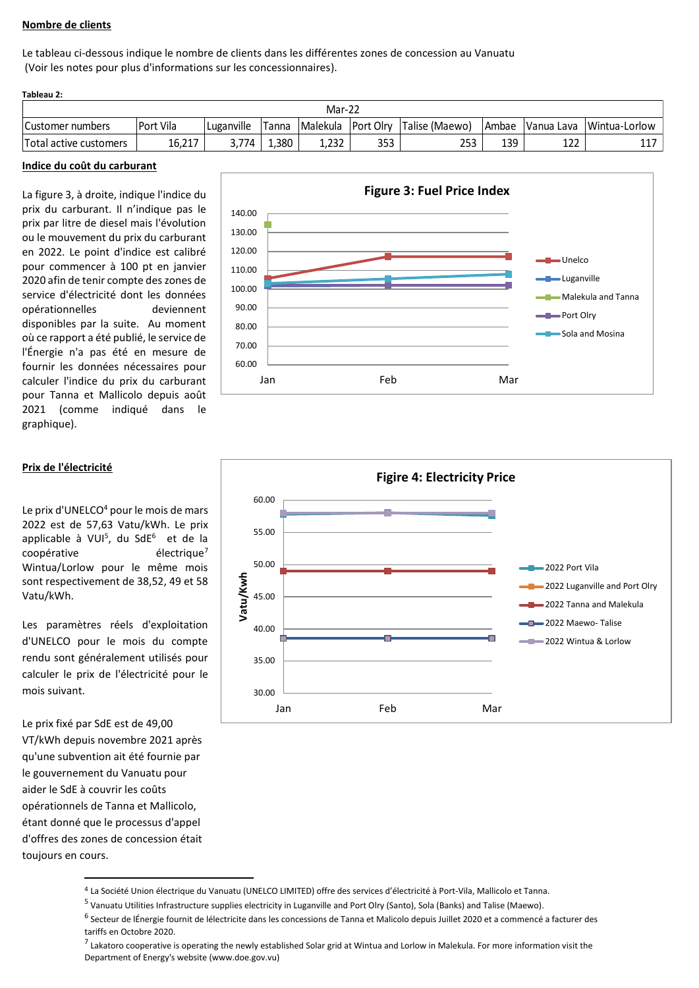## **Nombre de clients**

Le tableau ci-dessous indique le nombre de clients dans les différentes zones de concession au Vanuatu (Voir les notes pour plus d'informations sur les concessionnaires).

| Tableau 2:             |           |            |       |                 |                  |                 |              |             |               |
|------------------------|-----------|------------|-------|-----------------|------------------|-----------------|--------------|-------------|---------------|
|                        |           |            |       | Mar-22          |                  |                 |              |             |               |
| Customer numbers       | Port Vila | Luganville | Tanna | <b>Malekula</b> | <b>Port Olry</b> | 'Talise (Maewo) | <b>Ambae</b> | IVanua Lava | Wintua-Lorlow |
| Total active customers | 16.217    | ` 774      | .380  | 1.232           | 353              | 253             | 139          | 177<br>ᅩ᠘᠘  | 117           |

### **Indice du coût du carburant**

La figure 3, à droite, indique l'indice du prix du carburant. Il n'indique pas le prix par litre de diesel mais l'évolution ou le mouvement du prix du carburant en 2022. Le point d'indice est calibré pour commencer à 100 pt en janvier 2020 afin de tenir compte des zones de service d'électricité dont les données opérationnelles deviennent disponibles par la suite. Au moment où ce rapport a été publié, le service de l'Énergie n'a pas été en mesure de fournir les données nécessaires pour calculer l'indice du prix du carburant pour Tanna et Mallicolo depuis août 2021 (comme indiqué dans le graphique).



### **Prix de l'électricité**

Le prix d'UNELCO<sup>4</sup> pour le mois de mars 2022 est de 57,63 Vatu/kWh. Le prix applicable à VUI<sup>5</sup>, du SdE<sup>6</sup> et de la coopérative électrique<sup>7</sup> Wintua/Lorlow pour le même mois sont respectivement de 38,52, 49 et 58 Vatu/kWh.

Les paramètres réels d'exploitation d'UNELCO pour le mois du compte rendu sont généralement utilisés pour calculer le prix de l'électricité pour le mois suivant.

Le prix fixé par SdE est de 49,00 VT/kWh depuis novembre 2021 après qu'une subvention ait été fournie par le gouvernement du Vanuatu pour aider le SdE à couvrir les coûts opérationnels de Tanna et Mallicolo, étant donné que le processus d'appel d'offres des zones de concession était toujours en cours.



<sup>4</sup> La Société Union électrique du Vanuatu (UNELCO LIMITED) offre des services d'électricité à Port-Vila, Mallicolo et Tanna.

<sup>&</sup>lt;sup>5</sup> Vanuatu Utilities Infrastructure supplies electricity in Luganville and Port Olry (Santo), Sola (Banks) and Talise (Maewo).

<sup>&</sup>lt;sup>6</sup> Secteur de lÉnergie fournit de lélectricite dans les concessions de Tanna et Malicolo depuis Juillet 2020 et a commencé a facturer des tariffs en Octobre 2020.

<sup>&</sup>lt;sup>7</sup> Lakatoro cooperative is operating the newly established Solar grid at Wintua and Lorlow in Malekula. For more information visit the Department of Energy's website (www.doe.gov.vu)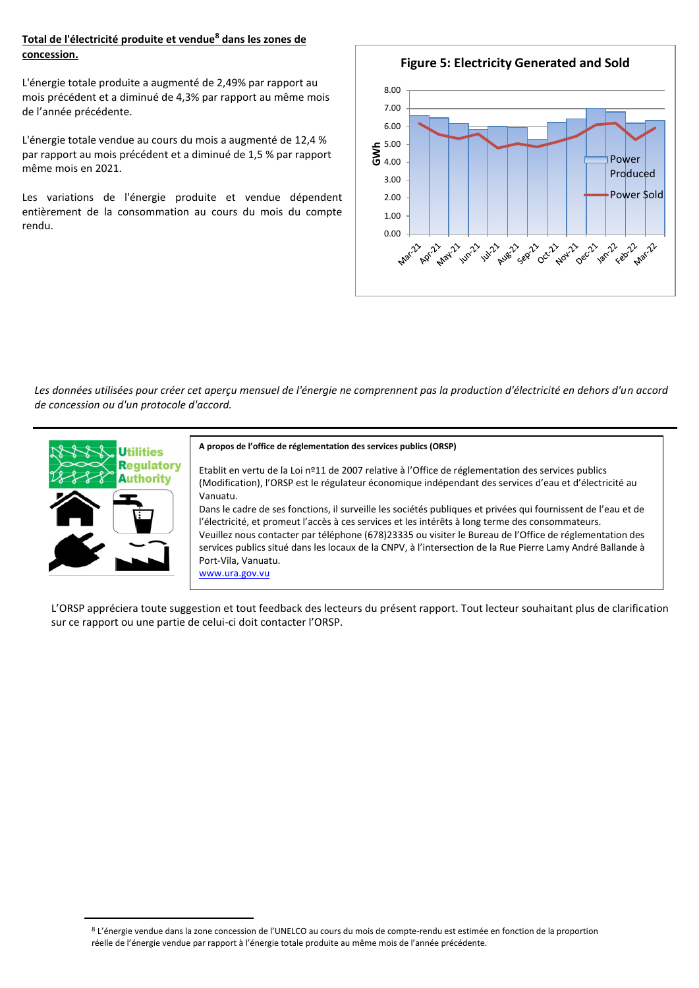## **Total de l'électricité produite et vendue<sup>8</sup> dans les zones de concession.**

L'énergie totale produite a augmenté de 2,49% par rapport au mois précédent et a diminué de 4,3% par rapport au même mois de l'année précédente.

L'énergie totale vendue au cours du mois a augmenté de 12,4 % par rapport au mois précédent et a diminué de 1,5 % par rapport même mois en 2021.

Les variations de l'énergie produite et vendue dépendent entièrement de la consommation au cours du mois du compte rendu.



*Les données utilisées pour créer cet aperçu mensuel de l'énergie ne comprennent pas la production d'électricité en dehors d'un accord de concession ou d'un protocole d'accord.* 



#### **A propos de l'office de réglementation des services publics (ORSP)**

Etablit en vertu de la Loi nº11 de 2007 relative à l'Office de réglementation des services publics (Modification), l'ORSP est le régulateur économique indépendant des services d'eau et d'électricité au Vanuatu.

Dans le cadre de ses fonctions, il surveille les sociétés publiques et privées qui fournissent de l'eau et de l'électricité, et promeut l'accès à ces services et les intérêts à long terme des consommateurs. Veuillez nous contacter par téléphone (678)23335 ou visiter le Bureau de l'Office de réglementation des services publics situé dans les locaux de la CNPV, à l'intersection de la Rue Pierre Lamy André Ballande à Port-Vila, Vanuatu.

[www.ura.gov.vu](http://www.ura.gov.vu/) 

L'ORSP appréciera toute suggestion et tout feedback des lecteurs du présent rapport. Tout lecteur souhaitant plus de clarification sur ce rapport ou une partie de celui-ci doit contacter l'ORSP.

<sup>8</sup> L'énergie vendue dans la zone concession de l'UNELCO au cours du mois de compte-rendu est estimée en fonction de la proportion réelle de l'énergie vendue par rapport à l'énergie totale produite au même mois de l'année précédente.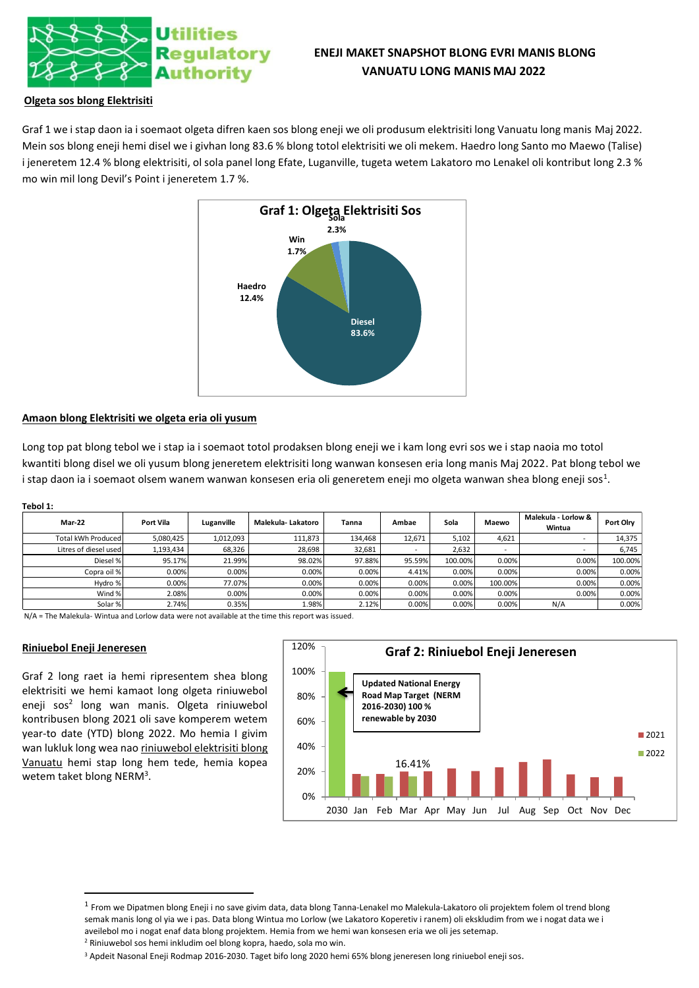

# **ENEJI MAKET SNAPSHOT BLONG EVRI MANIS BLONG VANUATU LONG MANIS MAJ 2022**

## **Olgeta sos blong Elektrisiti**

Graf 1 we i stap daon ia i soemaot olgeta difren kaen sos blong eneji we oli produsum elektrisiti long Vanuatu long manis Maj 2022. Mein sos blong eneji hemi disel we i givhan long 83.6 % blong totol elektrisiti we oli mekem. Haedro long Santo mo Maewo (Talise) i jeneretem 12.4 % blong elektrisiti, ol sola panel long Efate, Luganville, tugeta wetem Lakatoro mo Lenakel oli kontribut long 2.3 % mo win mil long Devil's Point i jeneretem 1.7 %.



### **Amaon blong Elektrisiti we olgeta eria oli yusum**

Long top pat blong tebol we i stap ia i soemaot totol prodaksen blong eneji we i kam long evri sos we i stap naoia mo totol kwantiti blong disel we oli yusum blong jeneretem elektrisiti long wanwan konsesen eria long manis Maj 2022. Pat blong tebol we i stap daon ia i soemaot olsem wanem wanwan konsesen eria oli generetem eneji mo olgeta wanwan shea blong eneji sos<sup>1</sup>.

| ۰,<br>۹ |
|---------|
|---------|

| <b>Mar-22</b>         | Port Vila | Luganville | Malekula-Lakatoro | Tanna   | Ambae  | Sola    | Maewo                    | Malekula - Lorlow &<br>Wintua | <b>Port Olrv</b> |
|-----------------------|-----------|------------|-------------------|---------|--------|---------|--------------------------|-------------------------------|------------------|
| Total kWh Produced    | 5,080,425 | 1,012,093  | 111,873           | 134,468 | 12,671 | 5,102   | 4,621                    | $\overline{\phantom{a}}$      | 14,375           |
| Litres of diesel used | 1,193,434 | 68,326     | 28,698            | 32,681  |        | 2,632   | $\overline{\phantom{a}}$ |                               | 6,745            |
| Diesel %              | 95.17%    | 21.99%     | 98.02%            | 97.88%  | 95.59% | 100.00% | 0.00%                    | 0.00%                         | 100.00%          |
| Copra oil %           | 0.00%     | 0.00%      | 0.00%             | 0.00%   | 4.41%  | 0.00%   | 0.00%                    | 0.00%                         | 0.00%            |
| Hydro %               | 0.00%     | 77.07%     | 0.00%             | 0.00%   | 0.00%  | 0.00%   | 100.00%                  | 0.00%                         | 0.00%            |
| Wind %                | 2.08%     | 0.00%      | 0.00%             | 0.00%   | 0.00%  | 0.00%   | 0.00%                    | 0.00%                         | 0.00%            |
| Solar %               | 2.74%     | 0.35%      | 1.98%             | 2.12%   | 0.00%  | 0.00%   | 0.00%                    | N/A                           | 0.00%            |

N/A = The Malekula- Wintua and Lorlow data were not available at the time this report was issued.

### **Riniuebol Eneji Jeneresen**

Graf 2 long raet ia hemi ripresentem shea blong elektrisiti we hemi kamaot long olgeta riniuwebol eneji sos<sup>2</sup> long wan manis. Olgeta riniuwebol kontribusen blong 2021 oli save komperem wetem year-to date (YTD) blong 2022. Mo hemia I givim wan lukluk long wea nao riniuwebol elektrisiti blong Vanuatu hemi stap long hem tede, hemia kopea wetem taket blong NERM<sup>3</sup>.



<sup>&</sup>lt;sup>1</sup> From we Dipatmen blong Eneji i no save givim data, data blong Tanna-Lenakel mo Malekula-Lakatoro oli projektem folem ol trend blong semak manis long ol yia we i pas. Data blong Wintua mo Lorlow (we Lakatoro Koperetiv i ranem) oli ekskludim from we i nogat data we i aveilebol mo i nogat enaf data blong projektem. Hemia from we hemi wan konsesen eria we oli jes setemap. <sup>2</sup> Riniuwebol sos hemi inkludim oel blong kopra, haedo, sola mo win.

<sup>3</sup> Apdeit Nasonal Eneji Rodmap 2016-2030. Taget bifo long 2020 hemi 65% blong jeneresen long riniuebol eneji sos.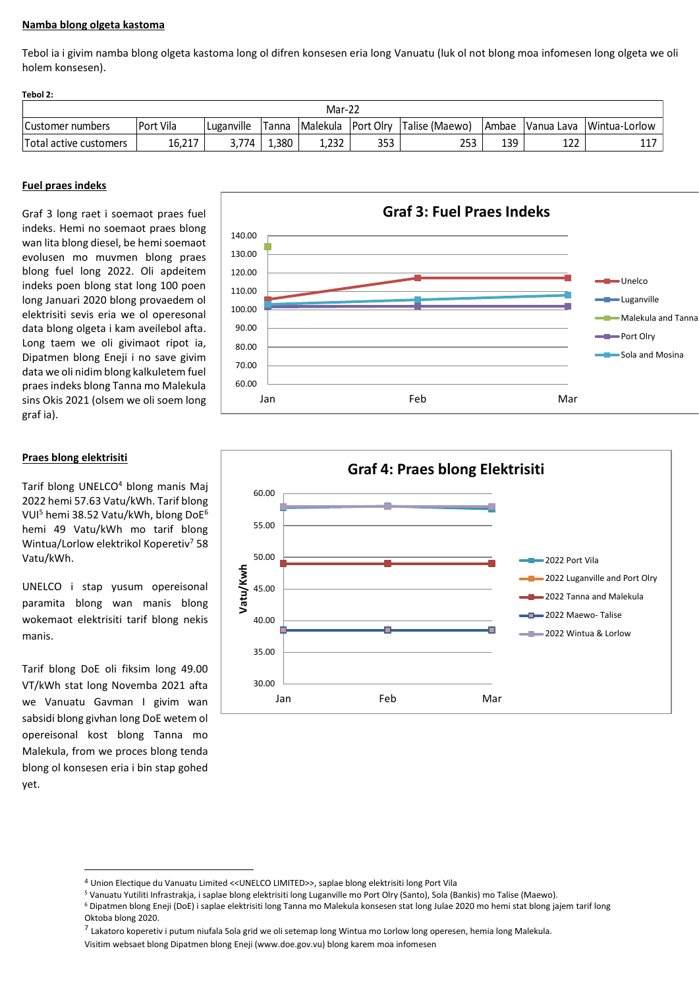## **Namba blong olgeta kastoma**

Tebol ia i givim namba blong olgeta kastoma long ol difren konsesen eria long Vanuatu (luk ol not blong moa infomesen long olgeta we oli holem konsesen).

**Tebol 2:**

| Mar-22                 |           |            |       |                  |                   |                |       |            |               |  |
|------------------------|-----------|------------|-------|------------------|-------------------|----------------|-------|------------|---------------|--|
| Customer numbers       | Port Vila | Luganville | Tanna | <b>IMalekula</b> | <b>IPort Olry</b> | Talise (Maewo) | Ambae | Vanua Lava | Wintua-Lorlow |  |
| Total active customers | 16,217    | 3.774      | 1,380 | 1,232            | 353               | 253            | 139   | າາາ<br>┸ፘፘ | 447<br>ᆂᆂ     |  |

## **Fuel praes indeks**

Graf 3 long raet i soemaot praes fuel indeks. Hemi no soemaot praes blong wan lita blong diesel, be hemi soemaot evolusen mo muvmen blong praes blong fuel long 2022. Oli apdeitem indeks poen blong stat long 100 poen long Januari 2020 blong provaedem ol elektrisiti sevis eria we ol operesonal data blong olgeta i kam aveilebol afta. Long taem we oli givimaot ripot ia, Dipatmen blong Eneji i no save givim data we oli nidim blong kalkuletem fuel praes indeks blong Tanna mo Malekula sins Okis 2021 (olsem we oli soem long graf ia).

## **Praes blong elektrisiti**

Tarif blong UNELCO<sup>4</sup> blong manis Maj 2022 hemi 57.63 Vatu/kWh. Tarif blong VUI<sup>5</sup> hemi 38.52 Vatu/kWh, blong DoE<sup>6</sup> hemi 49 Vatu/kWh mo tarif blong Wintua/Lorlow elektrikol Koperetiv<sup>7</sup> 58 Vatu/kWh.

UNELCO i stap yusum opereisonal paramita blong wan manis blong wokemaot elektrisiti tarif blong nekis manis.

Tarif blong DoE oli fiksim long 49.00 VT/kWh stat long Novemba 2021 afta we Vanuatu Gavman I givim wan sabsidi blong givhan long DoE wetem ol opereisonal kost blong Tanna mo Malekula, from we proces blong tenda blong ol konsesen eria i bin stap gohed yet.





<sup>4</sup> Union Electique du Vanuatu Limited <<UNELCO LIMITED>>, saplae blong elektrisiti long Port Vila

<sup>7</sup> Lakatoro koperetiv i putum niufala Sola grid we oli setemap long Wintua mo Lorlow long operesen, hemia long Malekula.

<sup>5</sup> Vanuatu Yutiliti Infrastrakja, i saplae blong elektrisiti long Luganville mo Port Olry (Santo), Sola (Bankis) mo Talise (Maewo).

<sup>6</sup> Dipatmen blong Eneji (DoE) i saplae elektrisiti long Tanna mo Malekula konsesen stat long Julae 2020 mo hemi stat blong jajem tarif long Oktoba blong 2020.